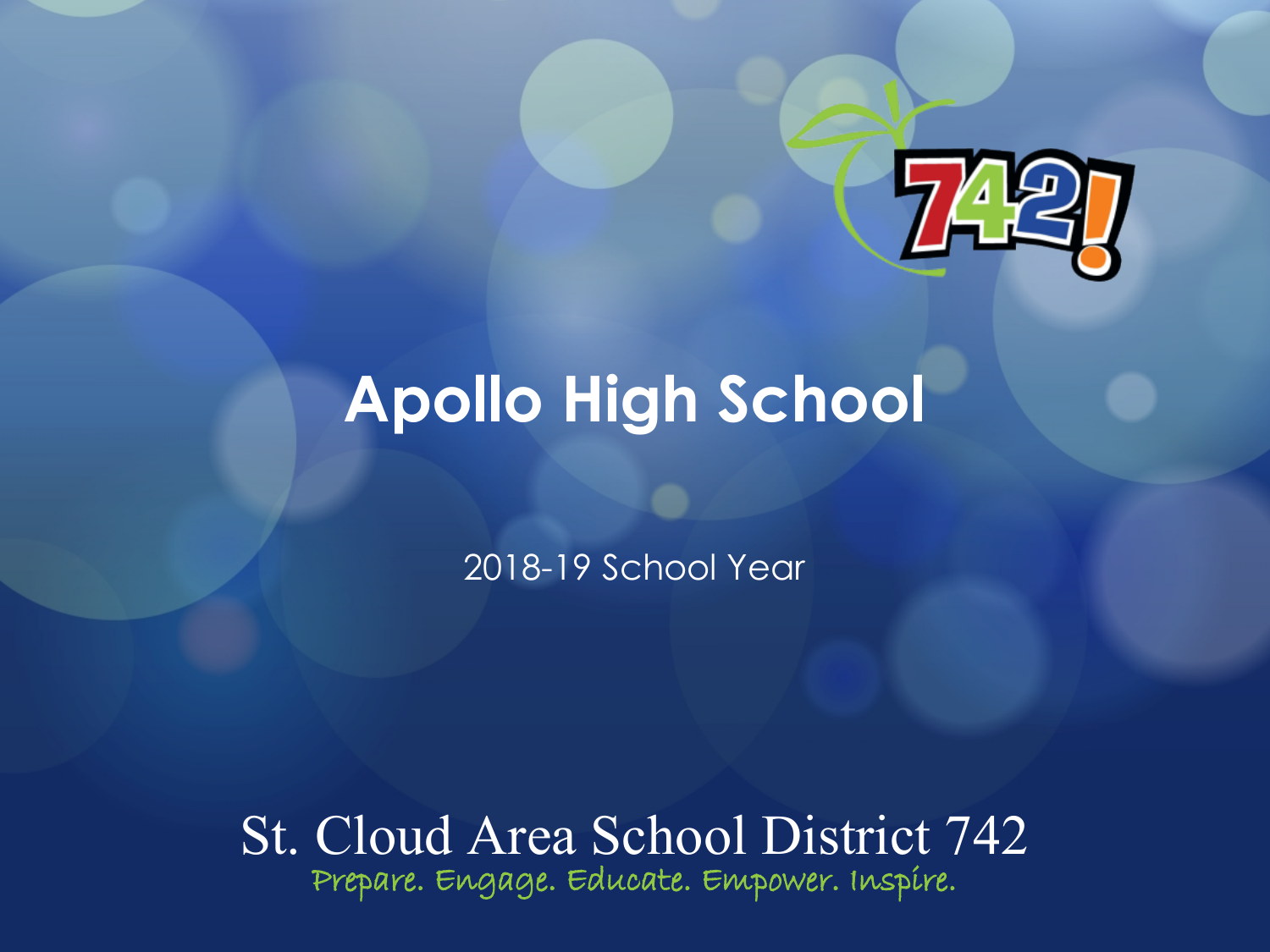

# **Apollo High School**

2018-19 School Year

St. Cloud Area School District 742 **Prepare. Engage. Educate. Empower. Inspire.**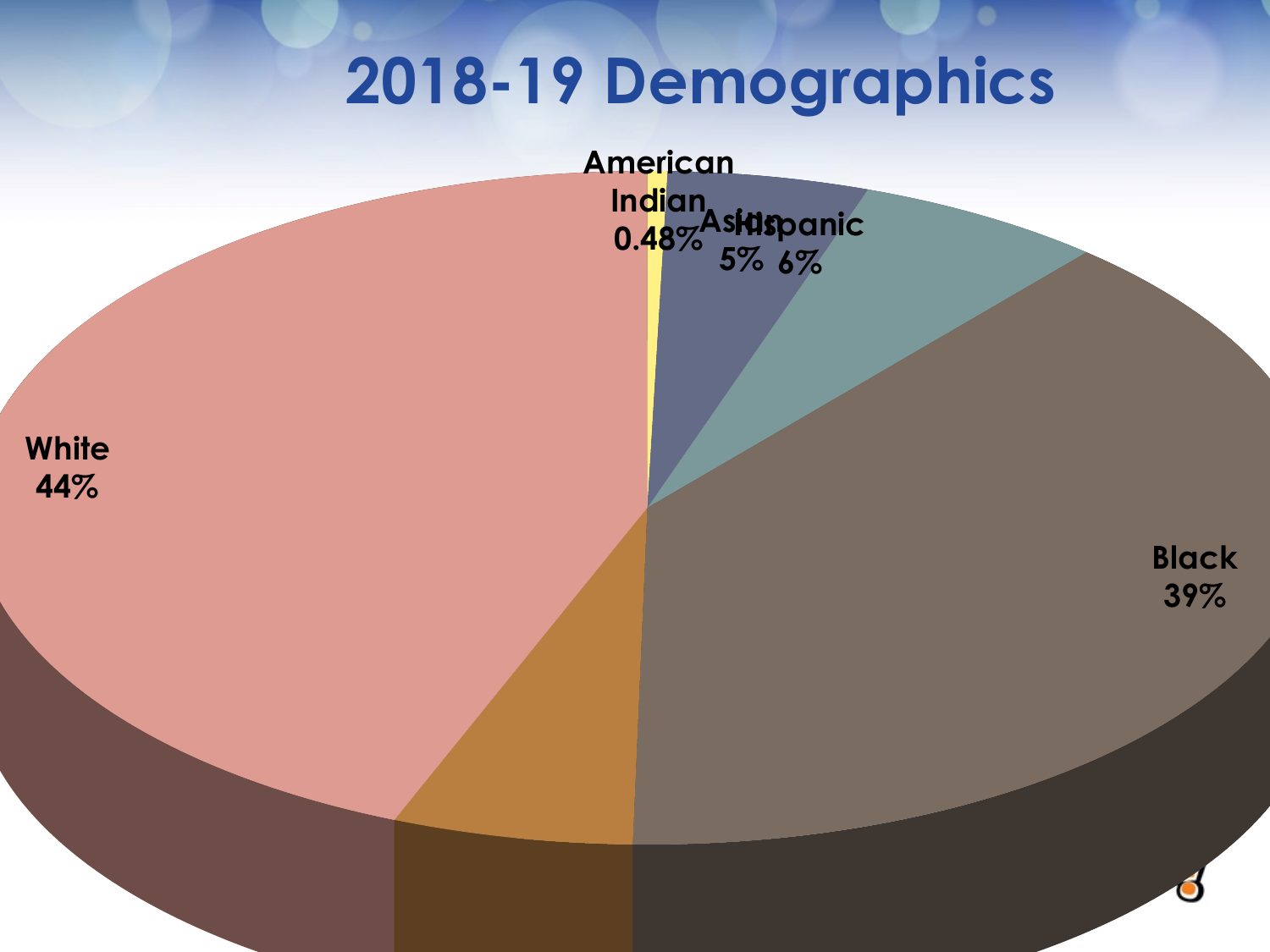# **2018-19 Demographics**

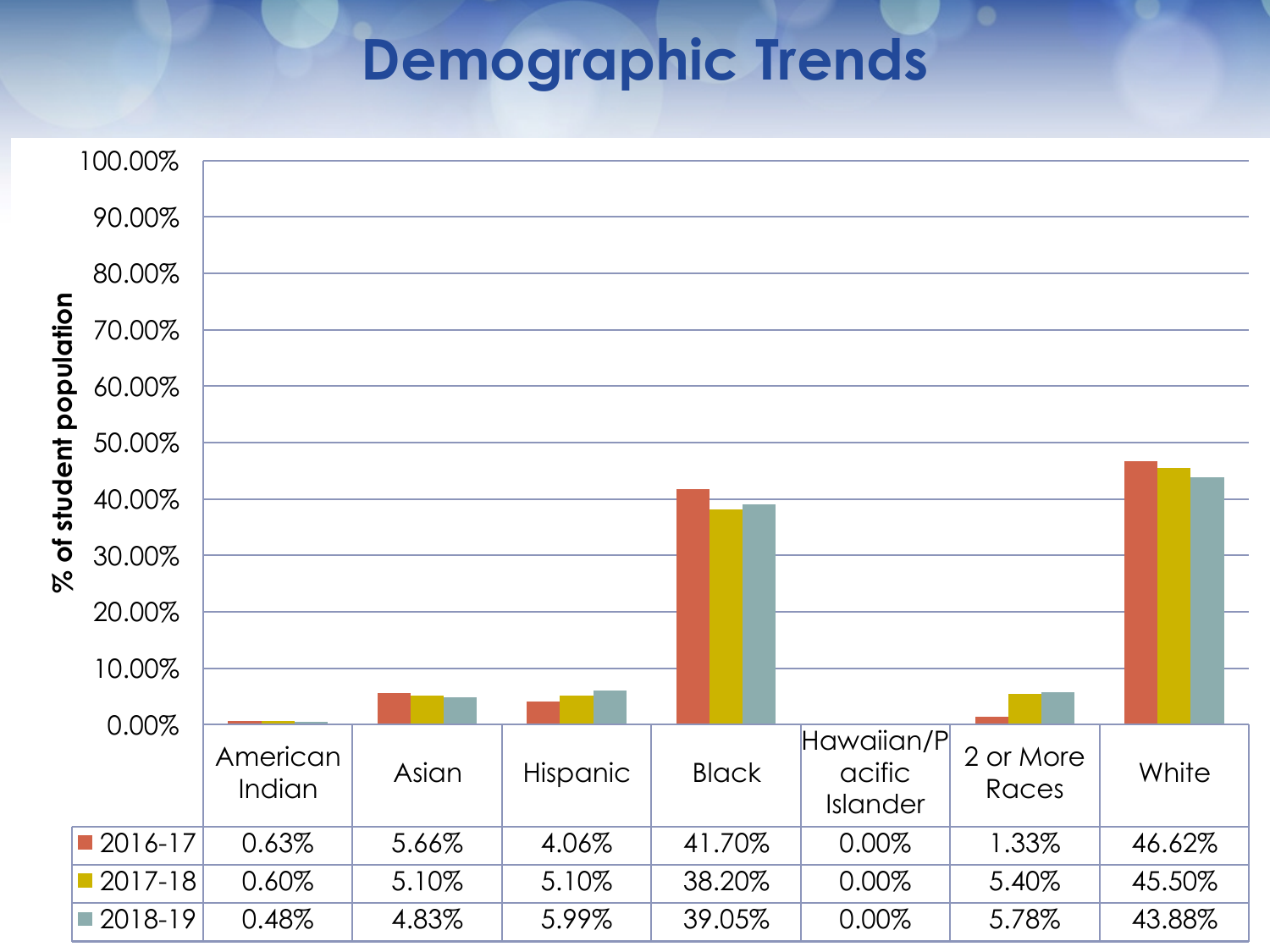### **Demographic Trends**

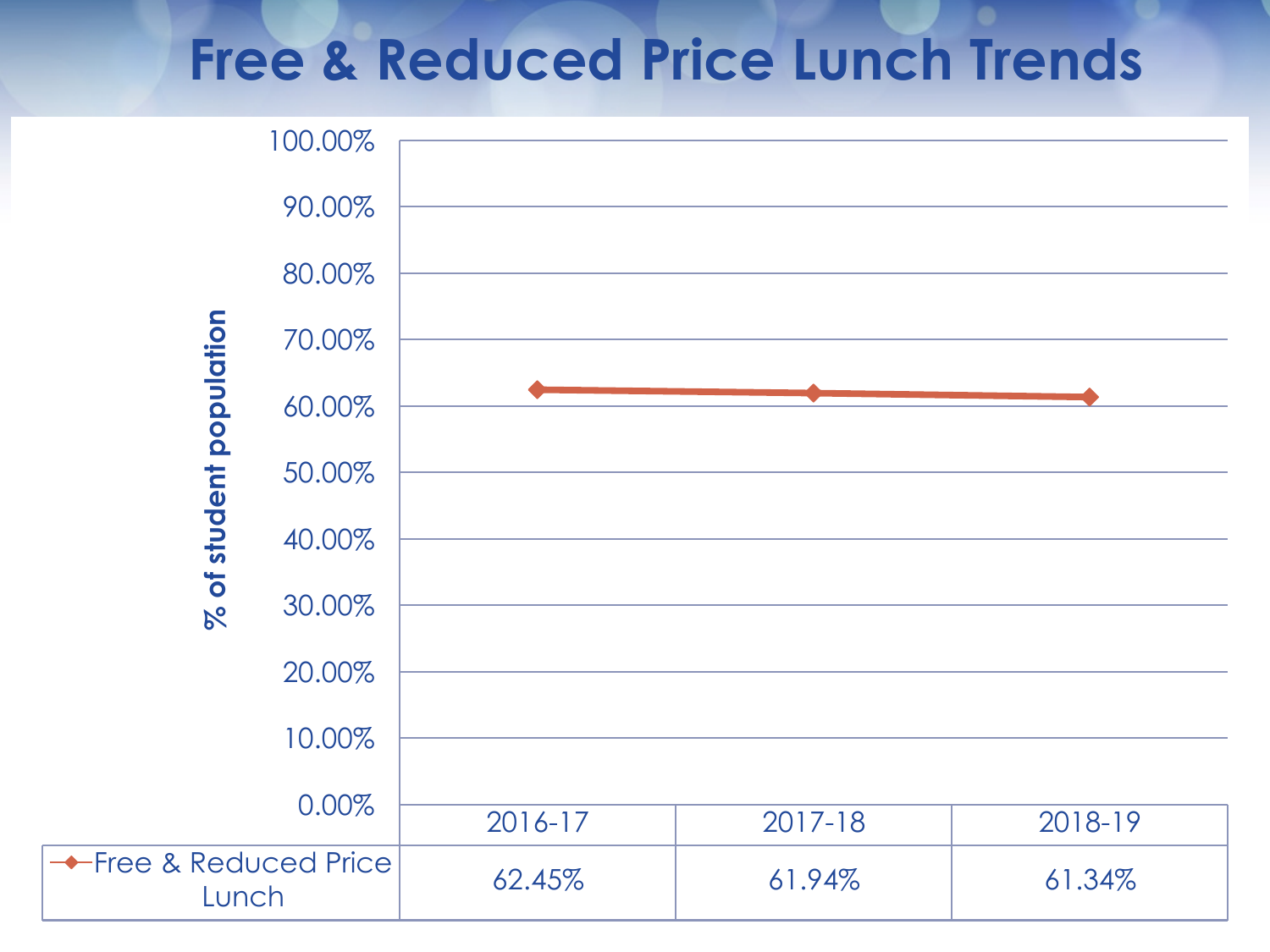### **Free & Reduced Price Lunch Trends**

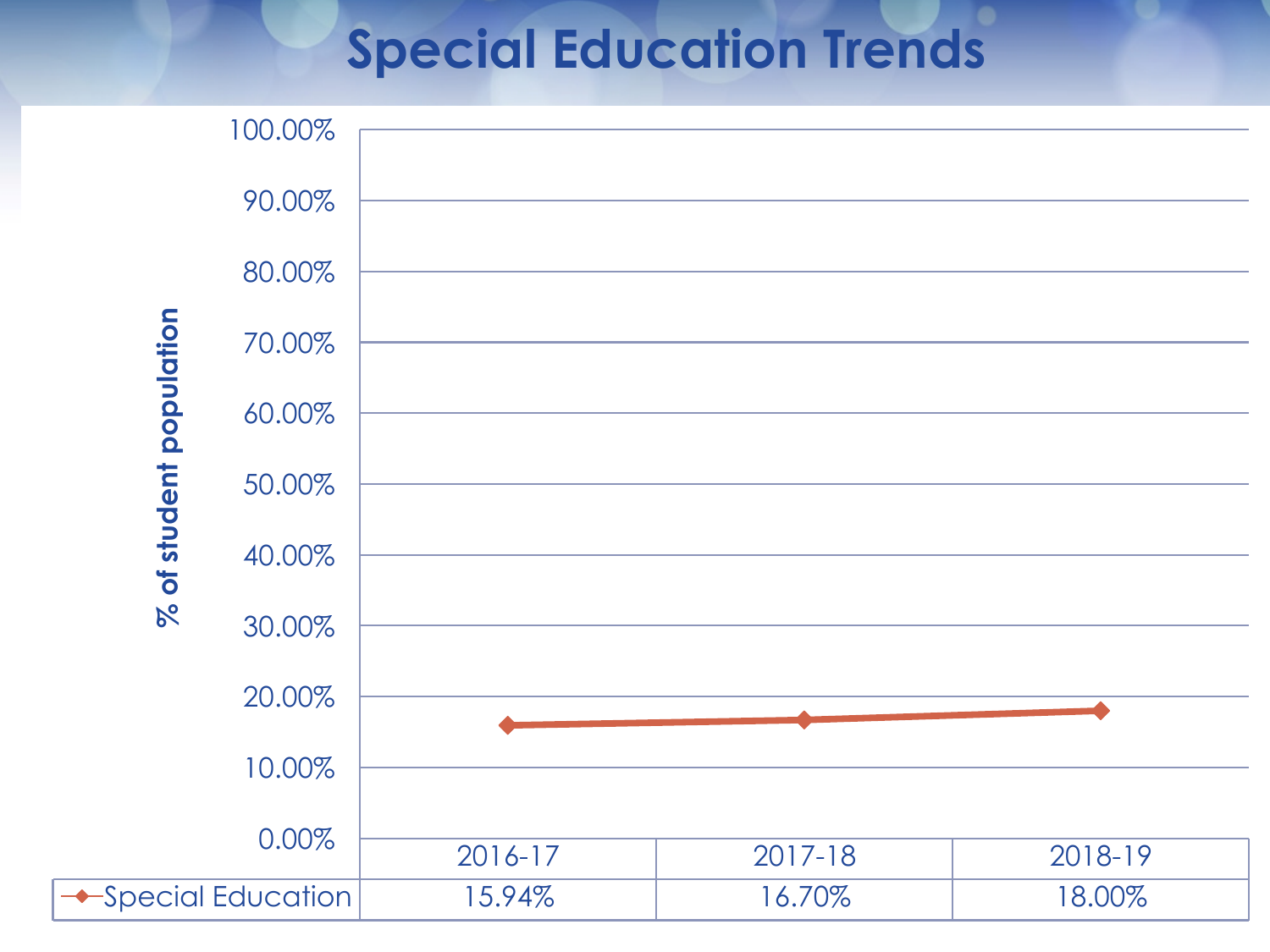## **Special Education Trends**

|                          | 100.00% |         |         |         |
|--------------------------|---------|---------|---------|---------|
| % of student population  |         |         |         |         |
|                          | 90.00%  |         |         |         |
|                          | 80.00%  |         |         |         |
|                          | 70.00%  |         |         |         |
|                          | 60.00%  |         |         |         |
|                          | 50.00%  |         |         |         |
|                          | 40.00%  |         |         |         |
|                          | 30.00%  |         |         |         |
|                          | 20.00%  |         |         |         |
|                          | 10.00%  |         |         |         |
|                          | 0.00%   | 2016-17 | 2017-18 | 2018-19 |
| <b>Special Education</b> |         | 15.94%  | 16.70%  | 18.00%  |
|                          |         |         |         |         |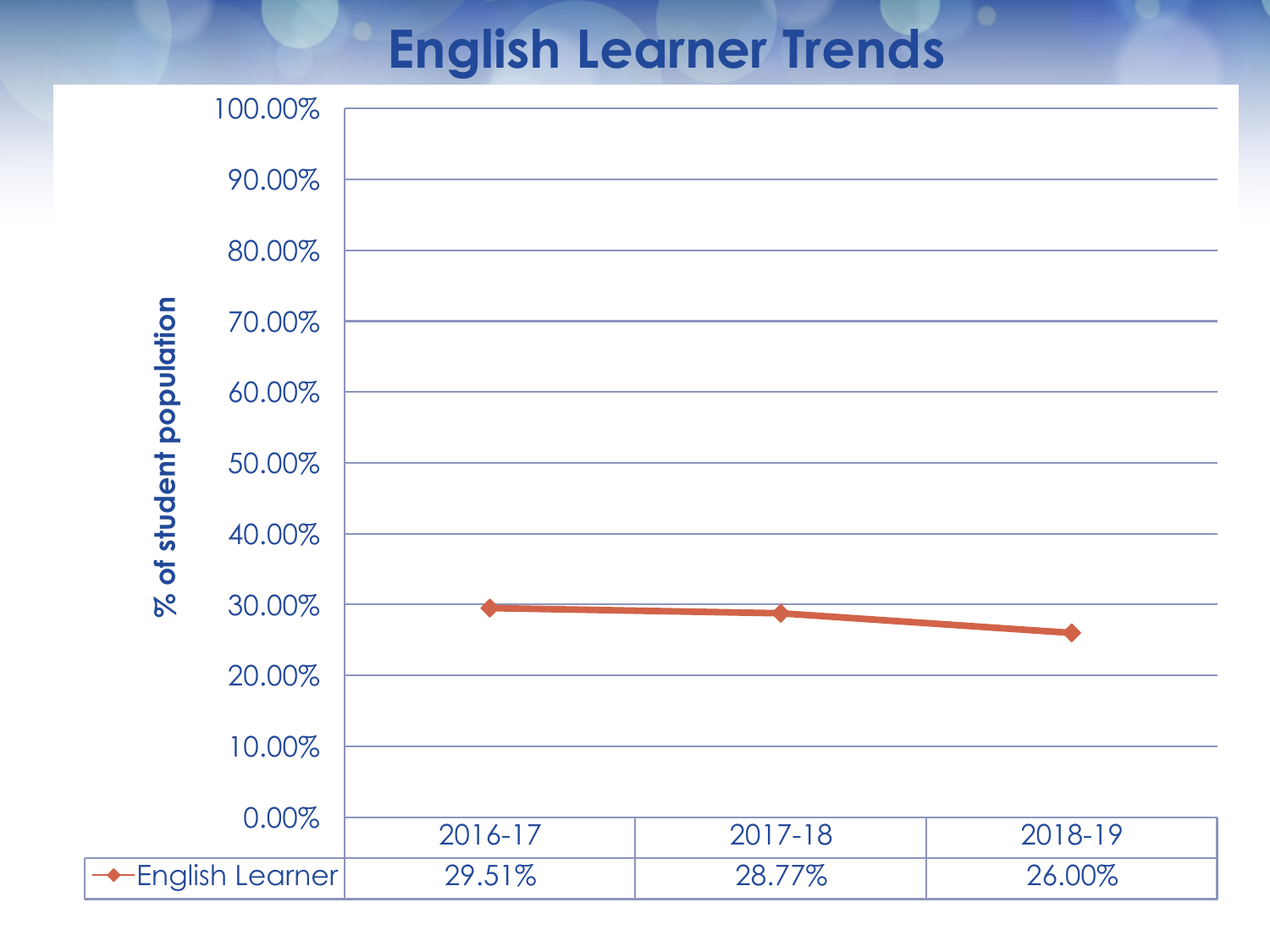### **English Learner Trends**

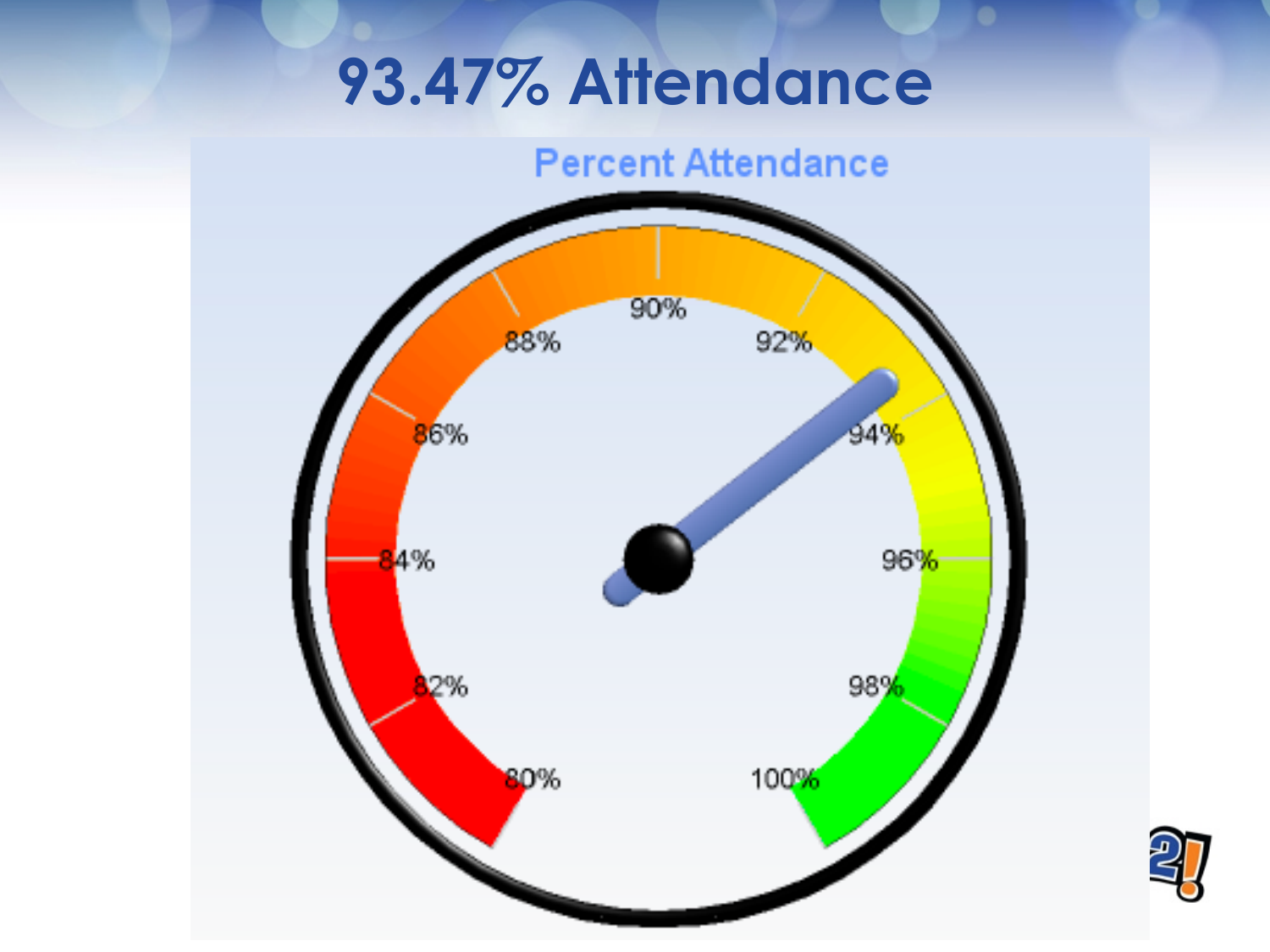# **93.47% Attendance**



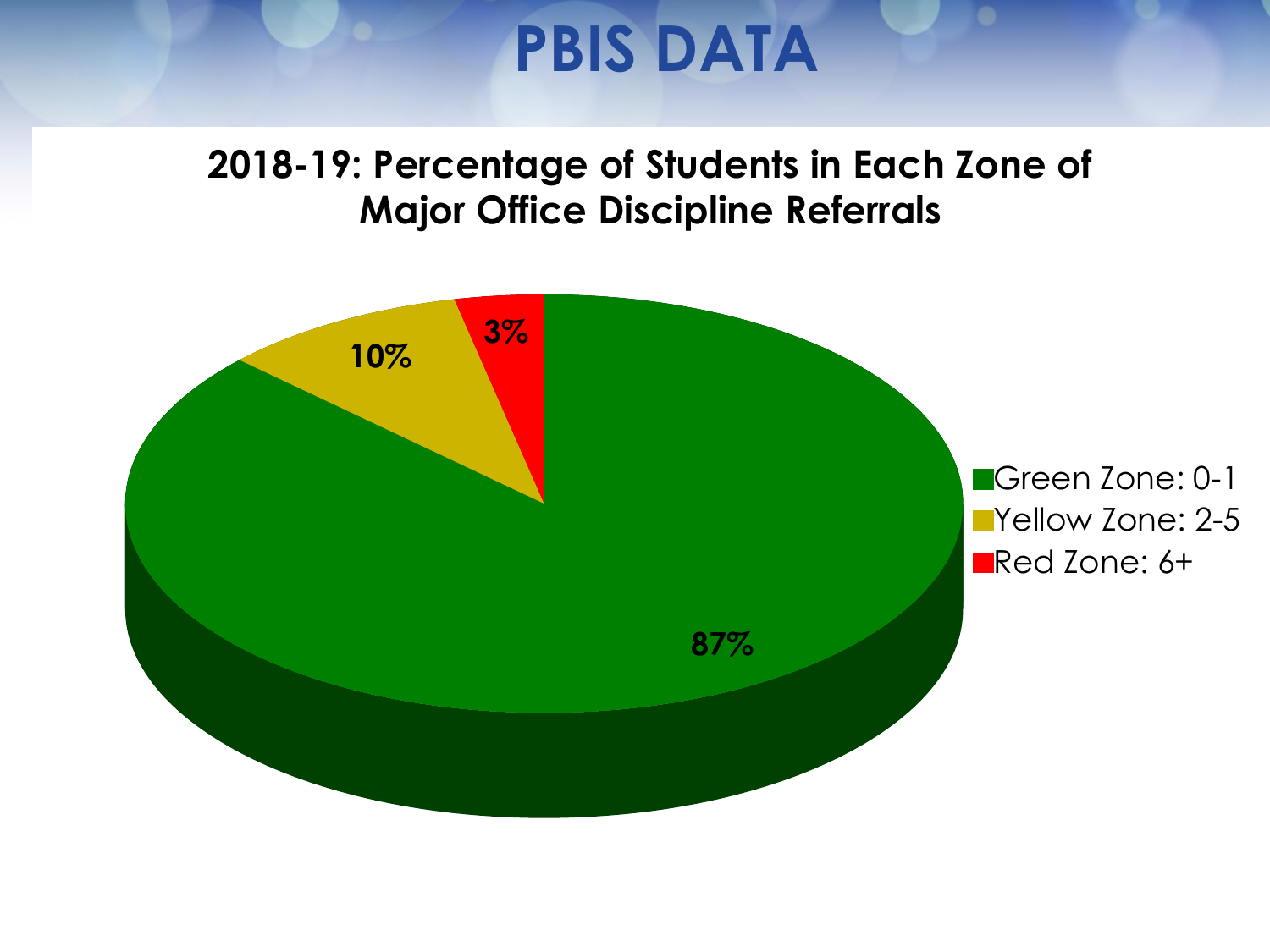# **PBIS DATA**

#### **2018-19: Percentage of Students in Each Zone of Major Office Discipline Referrals**

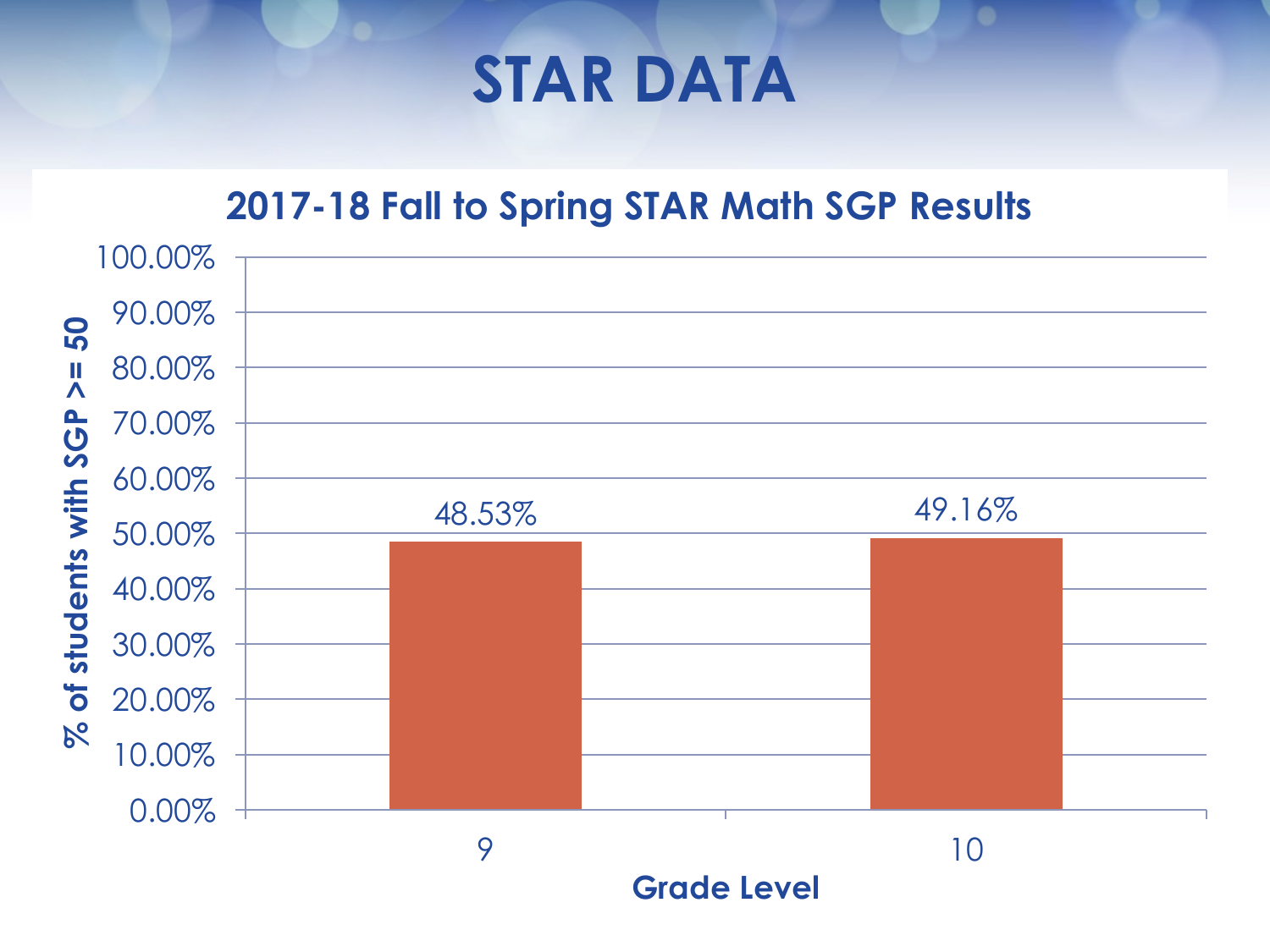### **STAR DATA**

#### **2017-18 Fall to Spring STAR Math SGP Results**

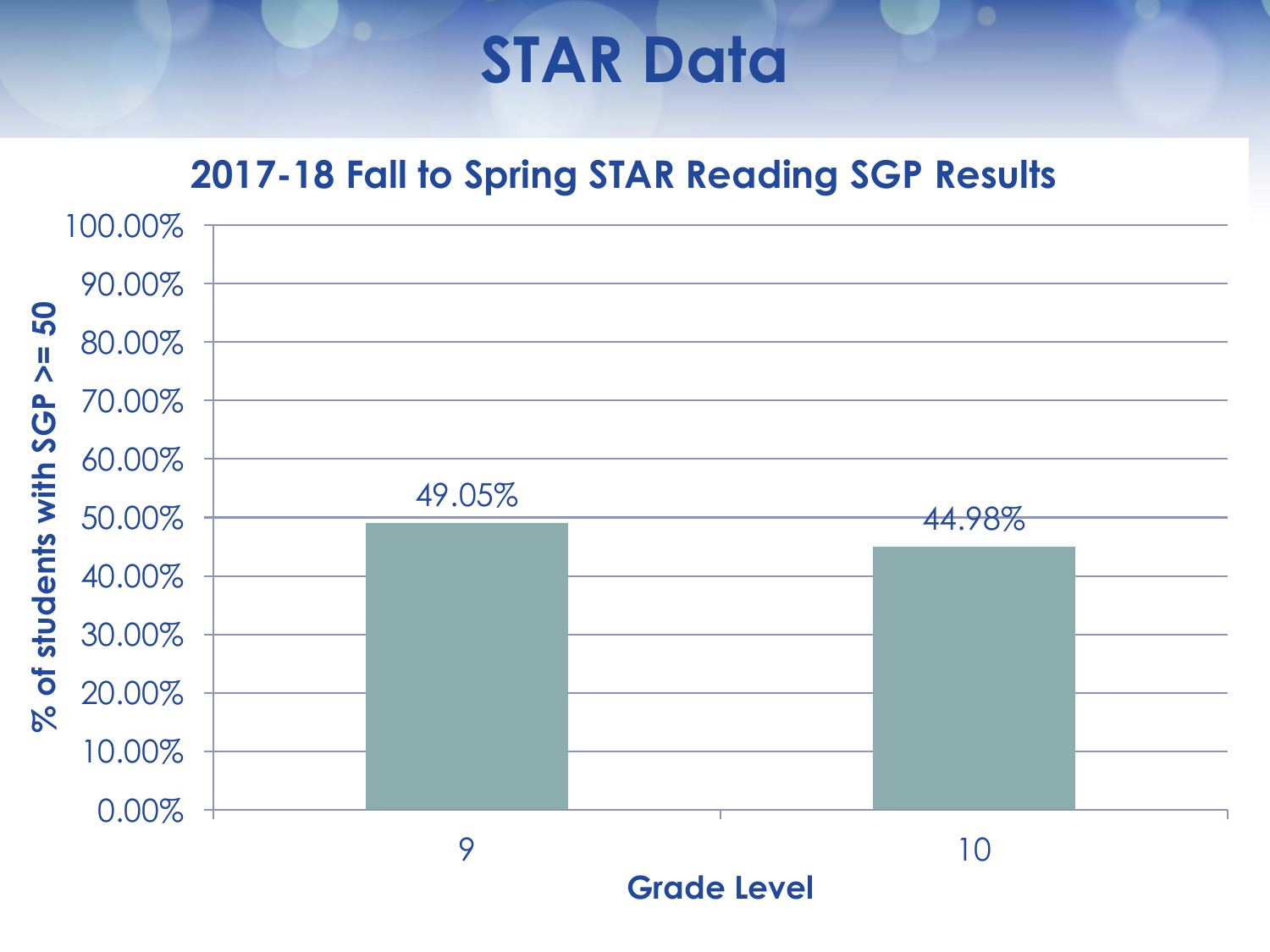### **STAR Data**

#### **2017-18 Fall to Spring STAR Reading SGP Results**

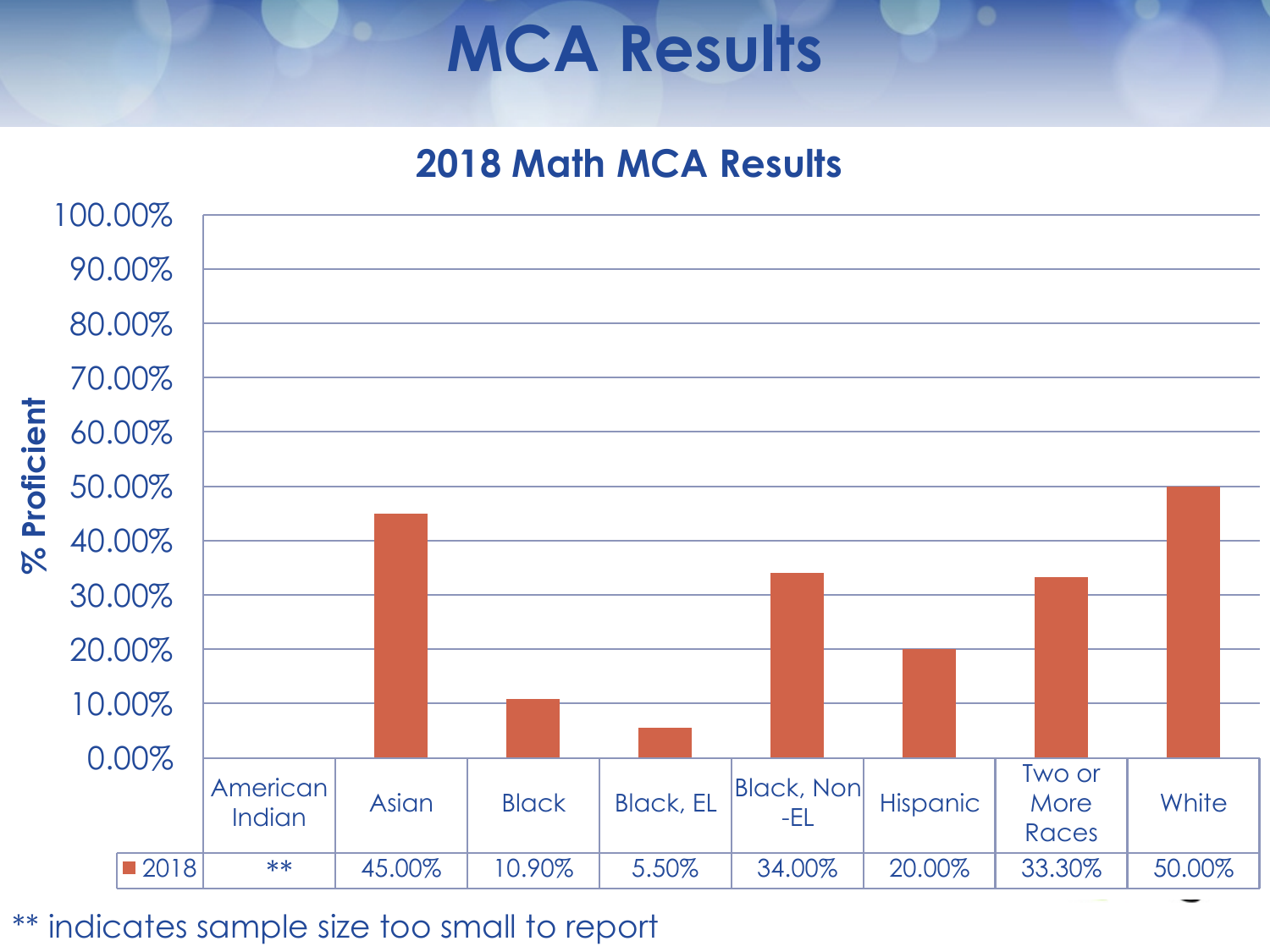## **MCA Results**

#### **2018 Math MCA Results**

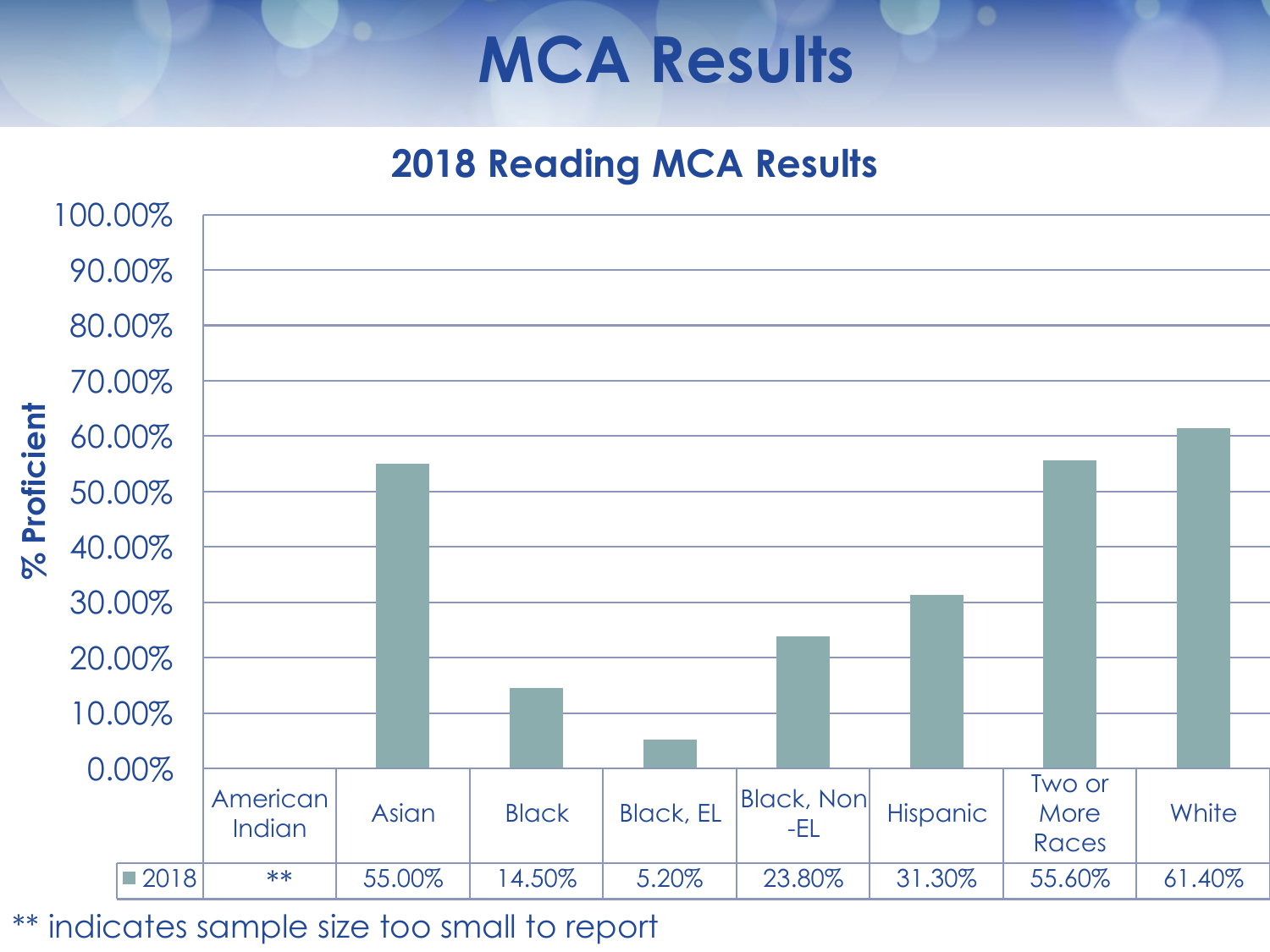## **MCA Results**

#### **2018 Reading MCA Results**

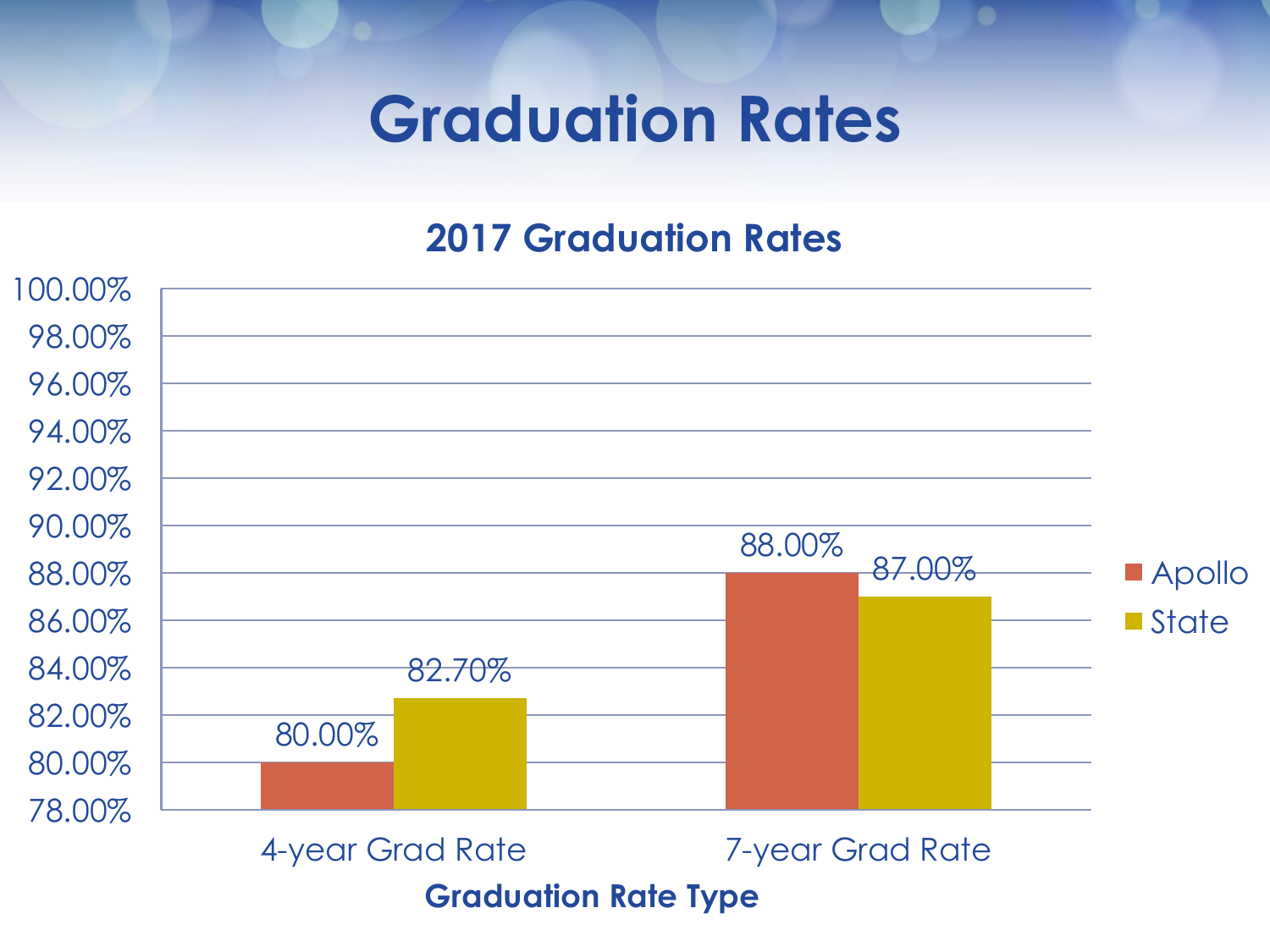## **Graduation Rates**

#### **2017 Graduation Rates**

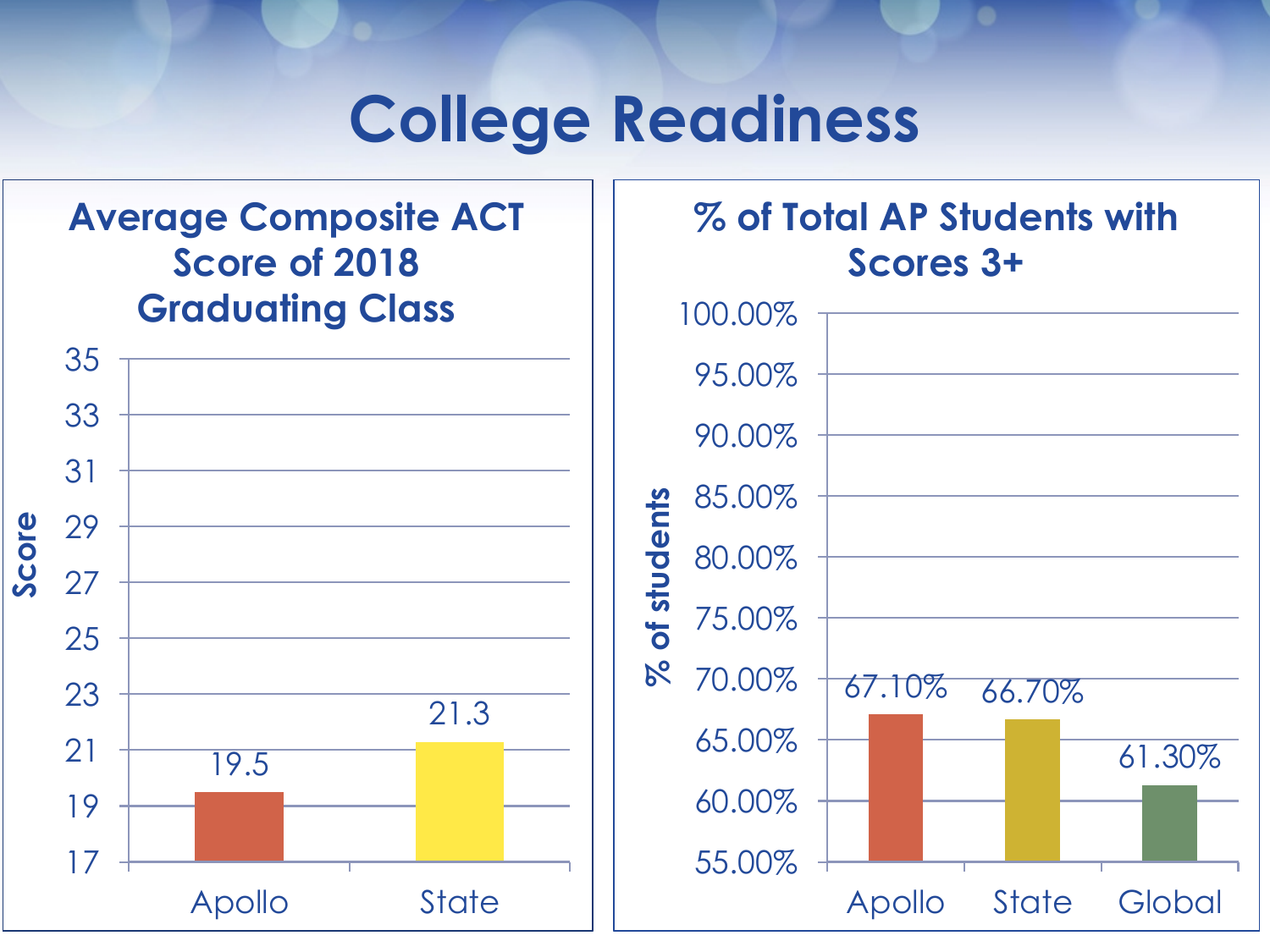### **College Readiness**

#### **Score** Apollo State 35 33 31 29 27 25 23 21 19 17 19.5 21.3 **Average Composite ACT Score of 2018 Graduating Class**

#### **% of Total AP Students with Scores 3+**100.00% 95.00% 90.00% 85.00% of students **% of students** 80.00% 75.00%  $8<sup>o</sup>$ 70.00% 67.10% 66.70% 65.00% 61.30% 60.00% 55.00% Apollo State Global